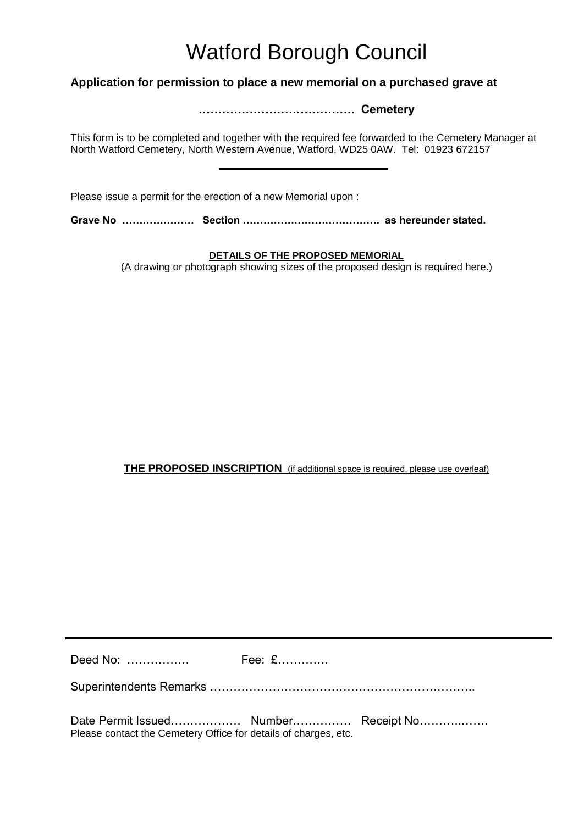## Watford Borough Council

## **Application for permission to place a new memorial on a purchased grave at**

**…………………………………. Cemetery**

This form is to be completed and together with the required fee forwarded to the Cemetery Manager at North Watford Cemetery, North Western Avenue, Watford, WD25 0AW. Tel: 01923 672157

Please issue a permit for the erection of a new Memorial upon :

**Grave No ………………… Section …………………………………. as hereunder stated.**

## **DETAILS OF THE PROPOSED MEMORIAL**

(A drawing or photograph showing sizes of the proposed design is required here.)

## **THE PROPOSED INSCRIPTION** (if additional space is required, please use overleaf)

Deed No: ……………. Fee: £………….

Superintendents Remarks …………………………………………………………..

Date Permit Issued……………… Number…………… Receipt No………..……. Please contact the Cemetery Office for details of charges, etc.